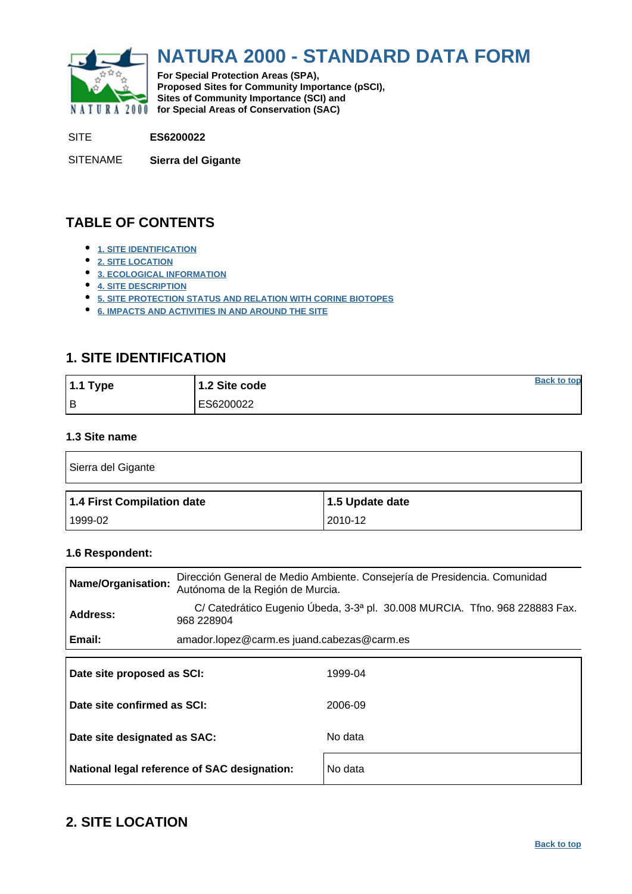<span id="page-0-0"></span>

# **NATURA 2000 - STANDARD DATA FORM**

**For Special Protection Areas (SPA), Proposed Sites for Community Importance (pSCI), Sites of Community Importance (SCI) and NATURA 2000** for Special Areas of Conservation (SAC)

SITE **ES6200022**

SITENAME **Sierra del Gigante**

# **TABLE OF CONTENTS**

- **[1. SITE IDENTIFICATION](#page-0-1)**
- **[2. SITE LOCATION](#page-0-2)**
- **[3. ECOLOGICAL INFORMATION](#page-1-0)**
- **[4. SITE DESCRIPTION](#page-8-0)**
- **[5. SITE PROTECTION STATUS AND RELATION WITH CORINE BIOTOPES](#page-10-0)**
- **[6. IMPACTS AND ACTIVITIES IN AND AROUND THE SITE](#page-10-1)**

## <span id="page-0-1"></span>**1. SITE IDENTIFICATION**

| 1.1 Type | 1.2 Site code | <b>Back to top</b> |
|----------|---------------|--------------------|
| l B      | ES6200022     |                    |

### **1.3 Site name**

| Sierra del Gigante         |                 |  |  |  |  |  |  |
|----------------------------|-----------------|--|--|--|--|--|--|
|                            |                 |  |  |  |  |  |  |
| 1.4 First Compilation date | 1.5 Update date |  |  |  |  |  |  |

### **1.6 Respondent:**

| Name/Organisation:          | Dirección General de Medio Ambiente. Consejería de Presidencia. Comunidad<br>Autónoma de la Región de Murcia. |  |  |  |  |  |  |  |  |
|-----------------------------|---------------------------------------------------------------------------------------------------------------|--|--|--|--|--|--|--|--|
| <b>Address:</b>             | C/ Catedrático Eugenio Úbeda, 3-3ª pl. 30.008 MURCIA. Tfno. 968 228883 Fax.<br>968 228904                     |  |  |  |  |  |  |  |  |
| Email:                      | amador.lopez@carm.es juand.cabezas@carm.es                                                                    |  |  |  |  |  |  |  |  |
| Date site proposed as SCI:  | 1999-04                                                                                                       |  |  |  |  |  |  |  |  |
| Date site confirmed as SCI: | 2006-09                                                                                                       |  |  |  |  |  |  |  |  |

| Date site designated as SAC:                 | No data |
|----------------------------------------------|---------|
| National legal reference of SAC designation: | No data |

## <span id="page-0-2"></span>**2. SITE LOCATION**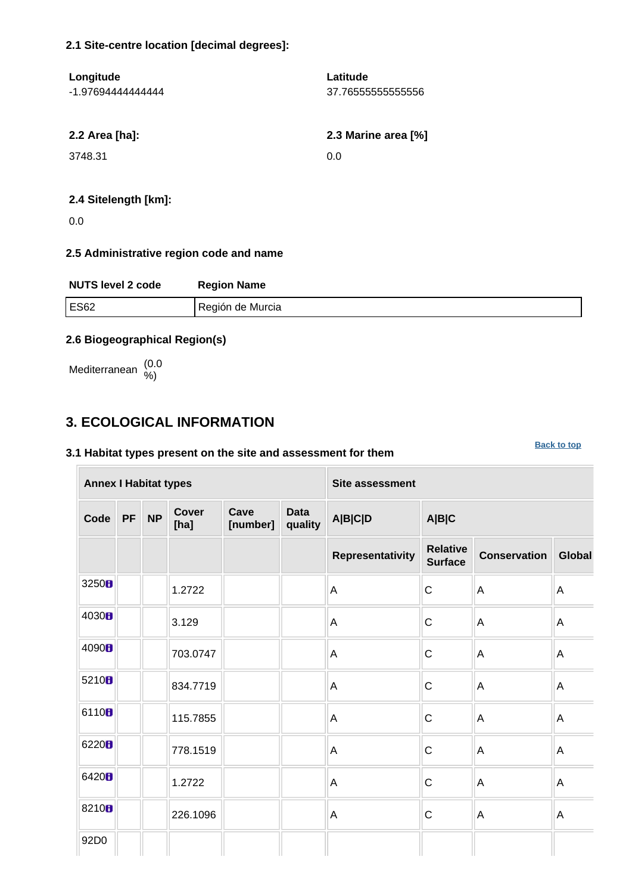### **2.1 Site-centre location [decimal degrees]:**

| Longitude         | Latitude            |
|-------------------|---------------------|
| -1.97694444444444 | 37.76555555555556   |
|                   |                     |
| 2.2 Area [ha]:    | 2.3 Marine area [%] |
| 3748.31           | 0.0                 |
|                   |                     |
|                   |                     |

### **2.4 Sitelength [km]:**

0.0

### **2.5 Administrative region code and name**

| <b>NUTS level 2 code</b> | <b>Region Name</b> |
|--------------------------|--------------------|
| <b>ES62</b>              | Región de Murcia   |

**[Back to top](#page-0-0)**

### **2.6 Biogeographical Region(s)**

Mediterranean (0.0 %)

### <span id="page-1-0"></span>**3. ECOLOGICAL INFORMATION**

### **3.1 Habitat types present on the site and assessment for them**

**Annex I Habitat types Site assessment Code PF NP Cover [ha] Cave [number] Data quality A|B|C|D A|B|C Representativity Relative Surface Conservation Global** 3250  $\parallel$  1.2722  $\parallel$   $\parallel$   $\parallel$  A  $\parallel$  C  $\parallel$  A  $\parallel$  A 4030  $\blacksquare$   $\blacksquare$   $\blacksquare$   $\blacksquare$   $\blacksquare$   $\blacksquare$   $\blacksquare$   $\blacksquare$   $\blacksquare$   $\blacksquare$   $\blacksquare$   $\blacksquare$   $\blacksquare$   $\blacksquare$   $\blacksquare$   $\blacksquare$   $\blacksquare$   $\blacksquare$   $\blacksquare$   $\blacksquare$   $\blacksquare$   $\blacksquare$   $\blacksquare$   $\blacksquare$   $\blacksquare$   $\blacksquare$   $\blacksquare$   $\blacksquare$   $\blacksquare$   $\blacksquare$   $\blacksquare$ 4090  $\parallel$  703.0747  $\parallel$  A  $\parallel$  A  $\parallel$  A  $\parallel$  A 5210  $\begin{array}{|c|c|c|c|c|}\n\hline\n834.7719 & & & A & C & A & A\n\end{array}$ 6110  $\blacksquare$  115.7855 A A C A A <sup>6220</sup> 778.1519 A C A A 6420  $\parallel$  1.2722  $\parallel$   $\parallel$   $\parallel$  A  $\parallel$  C  $\parallel$  A  $\parallel$  A 8210  $\blacksquare$  226.1096  $\blacksquare$  A  $\blacksquare$  A  $\blacksquare$  A  $\blacksquare$  A 92D0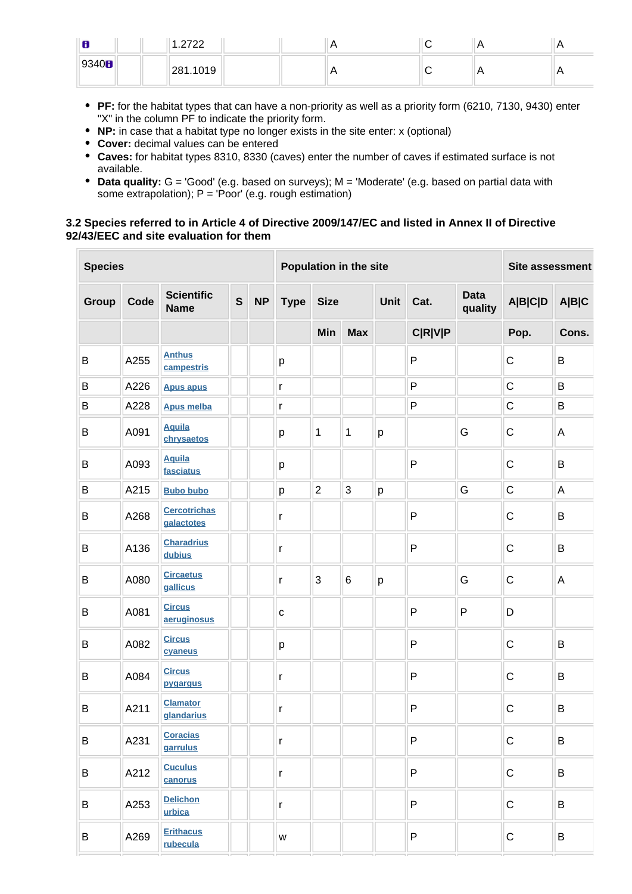| 8             | 2700     |  | $\sqrt{ }$ | . . |
|---------------|----------|--|------------|-----|
| 9340 <b>B</b> | 281.1019 |  | r          |     |

- **PF:** for the habitat types that can have a non-priority as well as a priority form (6210, 7130, 9430) enter "X" in the column PF to indicate the priority form.
- **NP:** in case that a habitat type no longer exists in the site enter: x (optional)
- **Cover:** decimal values can be entered
- **Caves:** for habitat types 8310, 8330 (caves) enter the number of caves if estimated surface is not available.
- **Data quality:** G = 'Good' (e.g. based on surveys); M = 'Moderate' (e.g. based on partial data with some extrapolation);  $P = 'Poor'$  (e.g. rough estimation)

### **3.2 Species referred to in Article 4 of Directive 2009/147/EC and listed in Annex II of Directive 92/43/EEC and site evaluation for them**

| <b>Species</b> |      |                                   |              | Population in the site |               |                |            |   |                | <b>Site assessment</b> |                |       |
|----------------|------|-----------------------------------|--------------|------------------------|---------------|----------------|------------|---|----------------|------------------------|----------------|-------|
| Group          | Code | <b>Scientific</b><br><b>Name</b>  | $\mathsf{s}$ | <b>NP</b>              | <b>Type</b>   | <b>Size</b>    |            |   | Cat.           | <b>Data</b><br>quality | <b>A B C D</b> | A B C |
|                |      |                                   |              |                        |               | Min            | <b>Max</b> |   | <b>C R V P</b> |                        | Pop.           | Cons. |
| B              | A255 | <b>Anthus</b><br>campestris       |              |                        | p             |                |            |   | $\mathsf{P}$   |                        | $\mathsf C$    | B     |
| B              | A226 | <b>Apus apus</b>                  |              |                        | $\mathsf{r}$  |                |            |   | P              |                        | $\mathsf C$    | B     |
| B              | A228 | <b>Apus melba</b>                 |              |                        | $\mathsf{r}$  |                |            |   | P              |                        | $\mathsf C$    | B     |
| B              | A091 | <b>Aquila</b><br>chrysaetos       |              |                        | р             | 1              | 1          | р | G              |                        | C              | A     |
| B              | A093 | <b>Aquila</b><br>fasciatus        |              |                        | р             |                |            |   | $\mathsf{P}$   |                        | C              | B     |
| B              | A215 | <b>Bubo bubo</b>                  |              |                        | p             | $\overline{2}$ | 3          | p |                | G                      | $\mathsf C$    | A     |
| B              | A268 | <b>Cercotrichas</b><br>galactotes |              |                        | $\mathsf{r}$  |                |            |   | $\mathsf{P}$   |                        | C              | B     |
| B              | A136 | <b>Charadrius</b><br>dubius       |              |                        | $\mathsf{r}$  |                |            |   | P              |                        | $\mathsf C$    | B     |
| B              | A080 | <b>Circaetus</b><br>gallicus      |              |                        | $\mathsf{r}$  | 3              | $\,6\,$    | p |                | G                      | $\mathsf C$    | A     |
| B              | A081 | <b>Circus</b><br>aeruginosus      |              |                        | $\mathbf{C}$  |                |            |   | P              | P                      | D              |       |
| B              | A082 | <b>Circus</b><br>cyaneus          |              |                        | p             |                |            |   | $\mathsf{P}$   |                        | $\mathsf C$    | B     |
| B              | A084 | <b>Circus</b><br>pygargus         |              |                        | $\mathsf{r}$  |                |            |   | P              |                        | $\mathsf C$    | B     |
| B              | A211 | <b>Clamator</b><br>glandarius     |              |                        | $\mathsf r$   |                |            |   | $\mathsf{P}$   |                        | C              | B     |
| B              | A231 | <b>Coracias</b><br>garrulus       |              |                        | r             |                |            |   | $\mathsf{P}$   |                        | $\mathbf C$    | B     |
| B              | A212 | <b>Cuculus</b><br>canorus         |              |                        | $\mathsf{r}$  |                |            |   | $\mathsf{P}$   |                        | $\mathbf C$    | B     |
| B              | A253 | <b>Delichon</b><br>urbica         |              |                        | r             |                |            |   | P              |                        | $\mathsf C$    | B     |
| B              | A269 | <b>Erithacus</b><br>rubecula      |              |                        | ${\mathsf W}$ |                |            |   | P              |                        | $\mathsf C$    | B     |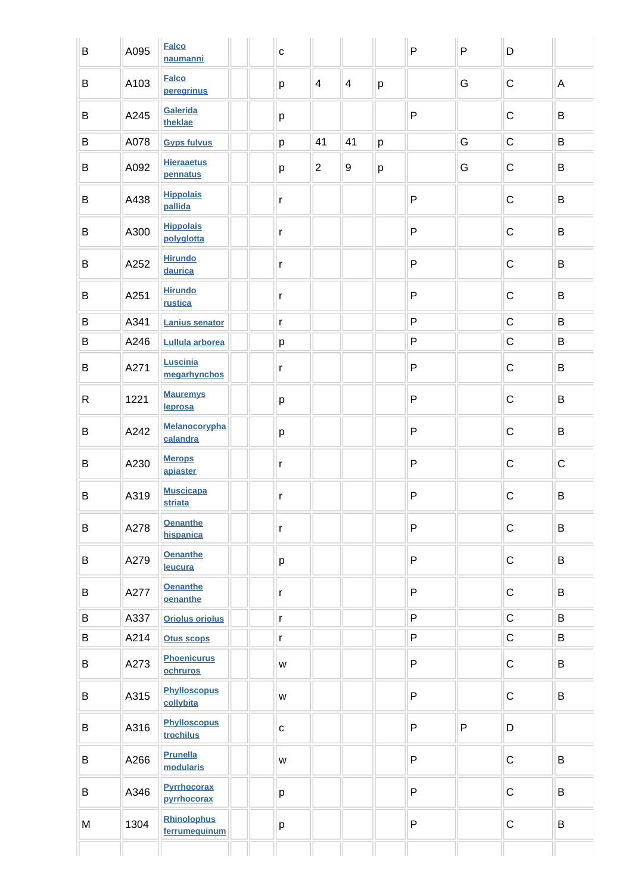| B            | A095 | <b>Falco</b><br>naumanni            | $\mathbf{C}$ |                |                |         | $\mathsf{P}$ | P | D           |             |
|--------------|------|-------------------------------------|--------------|----------------|----------------|---------|--------------|---|-------------|-------------|
| B            | A103 | <b>Falco</b><br>peregrinus          | p            | $\overline{4}$ | $\overline{4}$ | p       |              | G | $\mathbf C$ | A           |
| B            | A245 | Galerida<br>theklae                 | p            |                |                |         | $\mathsf{P}$ |   | $\mathsf C$ | B           |
| B            | A078 | <b>Gyps fulvus</b>                  | p            | 41             | 41             | p       |              | G | $\mathsf C$ | B           |
| B            | A092 | <b>Hieraaetus</b><br>pennatus       | p            | $\overline{2}$ | 9              | $\sf p$ |              | G | $\mathsf C$ | B           |
| B            | A438 | <b>Hippolais</b><br>pallida         | r            |                |                |         | $\mathsf{P}$ |   | $\mathsf C$ | B           |
| B            | A300 | <b>Hippolais</b><br>polyglotta      | r            |                |                |         | $\mathsf{P}$ |   | $\mathsf C$ | B           |
| B            | A252 | <b>Hirundo</b><br>daurica           | $\mathsf{r}$ |                |                |         | $\mathsf{P}$ |   | $\mathsf C$ | B           |
| B            | A251 | <b>Hirundo</b><br>rustica           | $\mathsf{r}$ |                |                |         | P            |   | $\mathsf C$ | B           |
| $\sf B$      | A341 | <b>Lanius senator</b>               | $\mathsf{r}$ |                |                |         | ${\sf P}$    |   | $\mathsf C$ | B           |
| $\sf B$      | A246 | Lullula arborea                     | p            |                |                |         | $\mathsf{P}$ |   | $\mathsf C$ | B           |
| B            | A271 | Luscinia<br>megarhynchos            | $\mathsf{r}$ |                |                |         | $\mathsf{P}$ |   | $\mathsf C$ | B           |
| $\mathsf{R}$ | 1221 | <b>Mauremys</b><br>leprosa          | p            |                |                |         | ${\sf P}$    |   | $\mathsf C$ | B           |
| B            | A242 | Melanocorypha<br>calandra           | р            |                |                |         | ${\sf P}$    |   | $\mathsf C$ | B           |
| B            | A230 | <b>Merops</b><br>apiaster           | r            |                |                |         | $\mathsf{P}$ |   | $\mathsf C$ | $\mathsf C$ |
| B            | A319 | <b>Muscicapa</b><br><b>striata</b>  | $\mathsf{r}$ |                |                |         | $\mathsf{P}$ |   | $\mathsf C$ | B           |
| B            | A278 | <b>Oenanthe</b><br>hispanica        | $\mathsf{r}$ |                |                |         | $\mathsf{P}$ |   | $\mathsf C$ | B           |
| B            | A279 | <b>Oenanthe</b><br>leucura          | p            |                |                |         | P            |   | $\mathsf C$ | B           |
| B            | A277 | <b>Oenanthe</b><br>oenanthe         | r            |                |                |         | P            |   | $\mathsf C$ | B           |
| B            | A337 | <b>Oriolus oriolus</b>              | $\mathsf{r}$ |                |                |         | P            |   | $\mathsf C$ | B           |
| B            | A214 | <b>Otus scops</b>                   | $\mathsf{r}$ |                |                |         | P            |   | $\mathsf C$ | B           |
| B            | A273 | <b>Phoenicurus</b><br>ochruros      | W            |                |                |         | P            |   | $\mathsf C$ | B           |
| B            | A315 | <b>Phylloscopus</b><br>collybita    | W            |                |                |         | P            |   | $\mathsf C$ | B           |
| B            | A316 | <b>Phylloscopus</b><br>trochilus    | $\mathbf{C}$ |                |                |         | P            | P | D           |             |
| B            | A266 | <b>Prunella</b><br>modularis        | W            |                |                |         | $\mathsf{P}$ |   | $\mathsf C$ | B           |
| B            | A346 | <b>Pyrrhocorax</b><br>pyrrhocorax   | p            |                |                |         | P            |   | $\mathsf C$ | B           |
| M            | 1304 | <b>Rhinolophus</b><br>ferrumequinum | p            |                |                |         | P            |   | $\mathsf C$ | B           |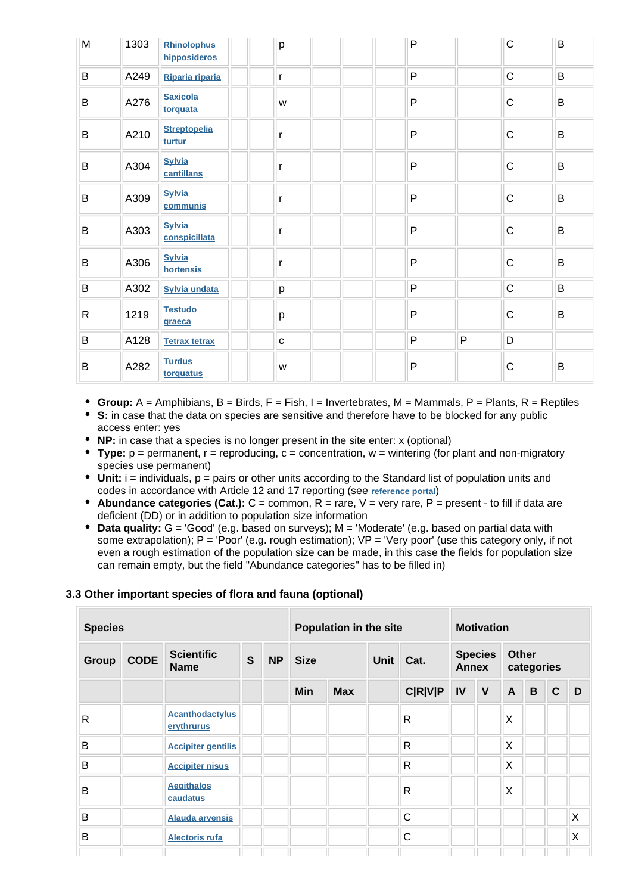| M         | 1303 | Rhinolophus<br>hipposideros    | p           | P |         | $\mathsf C$  | B            |
|-----------|------|--------------------------------|-------------|---|---------|--------------|--------------|
| B         | A249 | Riparia riparia                | r           | P |         | $\mathsf{C}$ | B            |
| B         | A276 | <b>Saxicola</b><br>torquata    | W           | P |         | $\mathsf C$  | $\mathsf B$  |
| B         | A210 | <b>Streptopelia</b><br>turtur  | r           | P |         | $\mathsf C$  | B            |
| B         | A304 | <b>Sylvia</b><br>cantillans    | r           | P |         | $\mathsf C$  | B            |
| B         | A309 | <b>Sylvia</b><br>communis      | r           | P |         | $\mathsf C$  | B            |
| $\sf B$   | A303 | <b>Sylvia</b><br>conspicillata | r           | P |         | $\mathsf C$  | B            |
| B         | A306 | <b>Sylvia</b><br>hortensis     | r           | P |         | $\mathsf C$  | B            |
| B         | A302 | <b>Sylvia undata</b>           | p           | P |         | $\mathsf C$  | $\sf B$      |
| ${\sf R}$ | 1219 | <b>Testudo</b><br>graeca       | p           | P |         | $\mathsf C$  | $\, {\bf B}$ |
| $\sf B$   | A128 | <b>Tetrax tetrax</b>           | $\mathbf C$ | P | $\sf P$ | D            |              |
| B         | A282 | <b>Turdus</b><br>torquatus     | W           | P |         | $\mathsf C$  | B            |

- **Group:** A = Amphibians, B = Birds, F = Fish, I = Invertebrates, M = Mammals, P = Plants, R = Reptiles
- **S:** in case that the data on species are sensitive and therefore have to be blocked for any public access enter: yes
- **NP:** in case that a species is no longer present in the site enter: x (optional)
- **Type:** p = permanent, r = reproducing, c = concentration, w = wintering (for plant and non-migratory species use permanent)
- Unit: i = individuals, p = pairs or other units according to the Standard list of population units and codes in accordance with Article 12 and 17 reporting (see **[reference portal](http://bd.eionet.europa.eu/activities/Natura_2000/reference_portal)**)
- **Abundance categories (Cat.):**  $C =$  common,  $R =$  rare,  $V =$  very rare,  $P =$  present to fill if data are deficient (DD) or in addition to population size information
- **Data quality:** G = 'Good' (e.g. based on surveys); M = 'Moderate' (e.g. based on partial data with some extrapolation);  $P = Popor'$  (e.g. rough estimation);  $VP = Very$  poor' (use this category only, if not even a rough estimation of the population size can be made, in this case the fields for population size can remain empty, but the field "Abundance categories" has to be filled in)

### **3.3 Other important species of flora and fauna (optional)**

| <b>Species</b> |             |                                      |   | Population in the site |             |            |             | <b>Motivation</b> |                                |              |                            |   |             |   |
|----------------|-------------|--------------------------------------|---|------------------------|-------------|------------|-------------|-------------------|--------------------------------|--------------|----------------------------|---|-------------|---|
| <b>Group</b>   | <b>CODE</b> | <b>Scientific</b><br><b>Name</b>     | S | <b>NP</b>              | <b>Size</b> |            | <b>Unit</b> |                   | <b>Species</b><br><b>Annex</b> |              | <b>Other</b><br>categories |   |             |   |
|                |             |                                      |   |                        | <b>Min</b>  | <b>Max</b> |             | <b>C R V P</b>    | IV                             | $\mathbf{V}$ | $\mathsf{A}$               | B | $\mathbf C$ | D |
| R              |             | <b>Acanthodactylus</b><br>erythrurus |   |                        |             |            |             | R                 |                                |              | X                          |   |             |   |
| B              |             | <b>Accipiter gentilis</b>            |   |                        |             |            |             | R                 |                                |              | X                          |   |             |   |
| B              |             | <b>Accipiter nisus</b>               |   |                        |             |            |             | R                 |                                |              | Χ                          |   |             |   |
| B              |             | <b>Aegithalos</b><br>caudatus        |   |                        |             |            |             | R                 |                                |              | X                          |   |             |   |
| B              |             | <b>Alauda arvensis</b>               |   |                        |             |            |             | C                 |                                |              |                            |   |             | X |
| B              |             | <b>Alectoris rufa</b>                |   |                        |             |            |             | $\mathsf{C}$      |                                |              |                            |   |             | X |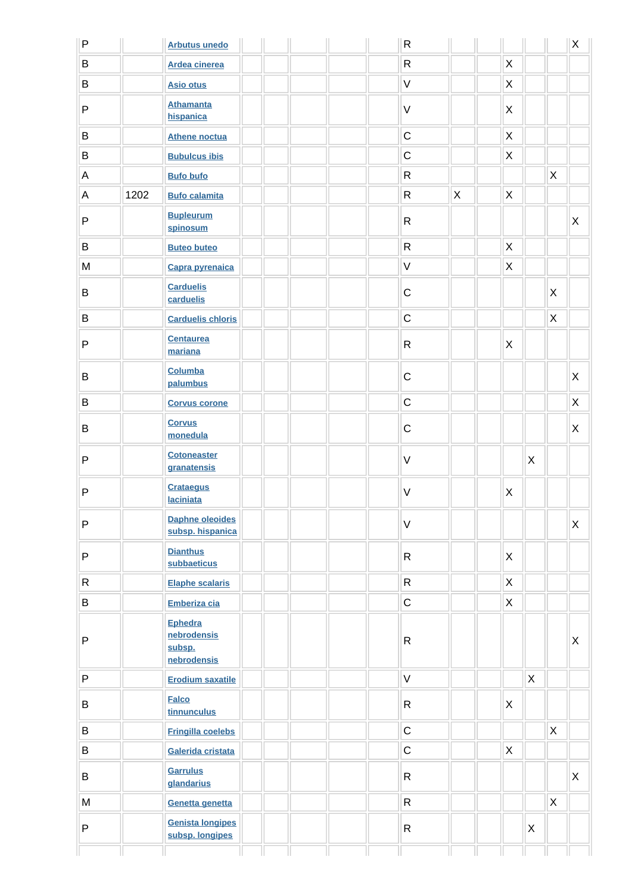| $\mathsf{P}$ |      | <b>Arbutus unedo</b>                                   |  |  | ${\sf R}$    |             |                           |              |   | X                         |
|--------------|------|--------------------------------------------------------|--|--|--------------|-------------|---------------------------|--------------|---|---------------------------|
| B            |      | <b>Ardea cinerea</b>                                   |  |  | $\mathsf{R}$ |             | X                         |              |   |                           |
| $\sf B$      |      | <b>Asio otus</b>                                       |  |  | $\mathsf V$  |             | X                         |              |   |                           |
| P            |      | <b>Athamanta</b><br>hispanica                          |  |  | $\vee$       |             | X                         |              |   |                           |
| B            |      | <b>Athene noctua</b>                                   |  |  | $\mathsf C$  |             | X                         |              |   |                           |
| $\sf B$      |      | <b>Bubulcus ibis</b>                                   |  |  | $\mathsf C$  |             | $\mathsf X$               |              |   |                           |
| A            |      | <b>Bufo bufo</b>                                       |  |  | $\mathsf{R}$ |             |                           |              | X |                           |
| A            | 1202 | <b>Bufo calamita</b>                                   |  |  | ${\sf R}$    | $\mathsf X$ | $\pmb{\times}$            |              |   |                           |
| P            |      | <b>Bupleurum</b><br>spinosum                           |  |  | ${\sf R}$    |             |                           |              |   | $\boldsymbol{\mathsf{X}}$ |
| B            |      | <b>Buteo buteo</b>                                     |  |  | ${\sf R}$    |             | $\boldsymbol{\mathsf{X}}$ |              |   |                           |
| ${\sf M}$    |      | Capra pyrenaica                                        |  |  | $\mathsf V$  |             | X                         |              |   |                           |
| $\sf B$      |      | <b>Carduelis</b><br>carduelis                          |  |  | $\mathsf C$  |             |                           |              | X |                           |
| $\, {\bf B}$ |      | <b>Carduelis chloris</b>                               |  |  | $\mathsf C$  |             |                           |              | X |                           |
| P            |      | <b>Centaurea</b><br>mariana                            |  |  | $\mathsf{R}$ |             | X                         |              |   |                           |
| B            |      | Columba<br>palumbus                                    |  |  | $\mathsf C$  |             |                           |              |   | X                         |
| $\sf B$      |      | <b>Corvus corone</b>                                   |  |  | $\mathsf{C}$ |             |                           |              |   | X                         |
| B            |      | <b>Corvus</b><br>monedula                              |  |  | $\mathsf C$  |             |                           |              |   | X                         |
| P            |      | <b>Cotoneaster</b><br>granatensis                      |  |  | $\vee$       |             |                           | X            |   |                           |
| P            |      | <b>Crataegus</b><br><b>laciniata</b>                   |  |  | $\vee$       |             | X                         |              |   |                           |
| P            |      | <b>Daphne oleoides</b><br>subsp. hispanica             |  |  | $\vee$       |             |                           |              |   | $\mathsf{X}$              |
| P            |      | <b>Dianthus</b><br>subbaeticus                         |  |  | $\mathsf{R}$ |             | $\mathsf{X}$              |              |   |                           |
| R            |      | <b>Elaphe scalaris</b>                                 |  |  | $\mathsf{R}$ |             | $\mathsf X$               |              |   |                           |
| B            |      | Emberiza cia                                           |  |  | $\mathsf C$  |             | $\mathsf{X}$              |              |   |                           |
| P            |      | <b>Ephedra</b><br>nebrodensis<br>subsp.<br>nebrodensis |  |  | $\mathsf{R}$ |             |                           |              |   | $\mathsf X$               |
| P            |      | <b>Erodium saxatile</b>                                |  |  | $\mathsf V$  |             |                           | $\mathsf{X}$ |   |                           |
| B            |      | <b>Falco</b><br>tinnunculus                            |  |  | $\mathsf{R}$ |             | X                         |              |   |                           |
| $\, {\bf B}$ |      | <b>Fringilla coelebs</b>                               |  |  | $\mathsf{C}$ |             |                           |              | X |                           |
| B            |      | Galerida cristata                                      |  |  | $\mathsf C$  |             | $\mathsf{X}$              |              |   |                           |
| B            |      | <b>Garrulus</b><br>glandarius                          |  |  | $\mathsf{R}$ |             |                           |              |   | $\mathsf{X}$              |
| ${\sf M}$    |      | Genetta genetta                                        |  |  | $\mathsf{R}$ |             |                           |              | X |                           |
| P            |      | <b>Genista longipes</b><br>subsp. longipes             |  |  | $\mathsf R$  |             |                           | X            |   |                           |
|              |      |                                                        |  |  |              |             |                           |              |   |                           |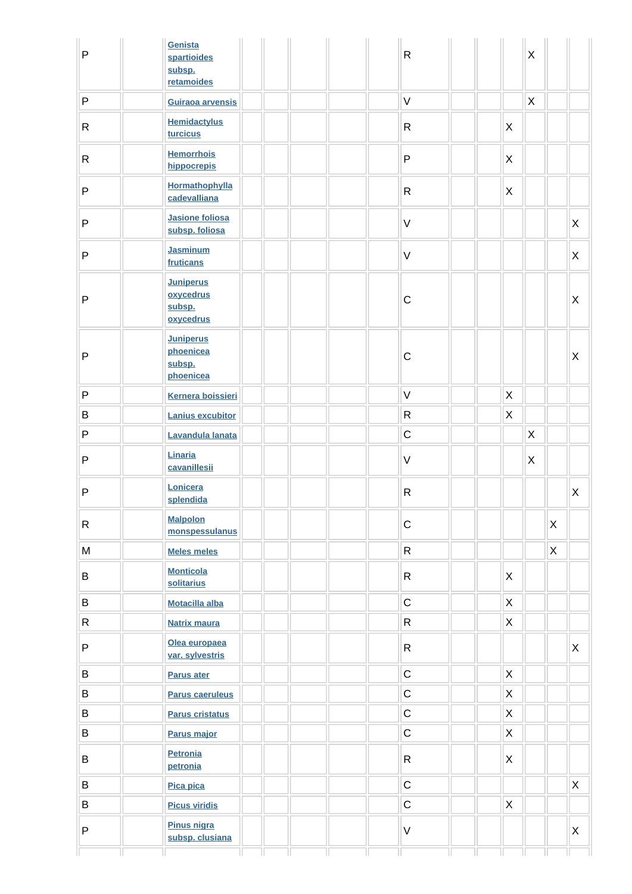| $\mathsf{P}$ | Genista<br>spartioides<br>subsp.<br>retamoides       |  | ${\sf R}$    |                           | $\times$ |              |             |
|--------------|------------------------------------------------------|--|--------------|---------------------------|----------|--------------|-------------|
| ${\sf P}$    | Guiraoa arvensis                                     |  | $\vee$       |                           | X        |              |             |
| $\mathsf{R}$ | <b>Hemidactylus</b><br>turcicus                      |  | $\mathsf{R}$ | $\boldsymbol{\mathsf{X}}$ |          |              |             |
| $\mathsf{R}$ | <b>Hemorrhois</b><br>hippocrepis                     |  | ${\sf P}$    | X                         |          |              |             |
| P            | Hormathophylla<br>cadevalliana                       |  | $\mathsf{R}$ | X                         |          |              |             |
| P            | <b>Jasione foliosa</b><br>subsp. foliosa             |  | $\mathsf V$  |                           |          |              | X           |
| P            | <b>Jasminum</b><br>fruticans                         |  | $\vee$       |                           |          |              | X           |
| P            | <b>Juniperus</b><br>oxycedrus<br>subsp.<br>oxycedrus |  | $\mathsf C$  |                           |          |              | X           |
| P            | <b>Juniperus</b><br>phoenicea<br>subsp.<br>phoenicea |  | $\mathsf C$  |                           |          |              | X           |
| $\mathsf{P}$ | <b>Kernera boissieri</b>                             |  | $\vee$       | X                         |          |              |             |
| B            | <b>Lanius excubitor</b>                              |  | ${\sf R}$    | $\mathsf{X}$              |          |              |             |
| ${\sf P}$    | Lavandula lanata                                     |  | $\mathsf C$  |                           | X        |              |             |
| $\mathsf{P}$ | Linaria<br>cavanillesii                              |  | $\vee$       |                           | X        |              |             |
| $\sf P$      | Lonicera<br>splendida                                |  | $\mathsf{R}$ |                           |          |              | X           |
| R            | <b>Malpolon</b><br>monspessulanus                    |  | $\mathsf C$  |                           |          | X            |             |
| ${\sf M}$    | <b>Meles meles</b>                                   |  | ${\sf R}$    |                           |          | $\mathsf{X}$ |             |
| B            | <b>Monticola</b><br>solitarius                       |  | $\mathsf{R}$ | X                         |          |              |             |
| $\sf B$      | <b>Motacilla alba</b>                                |  | $\mathsf{C}$ | $\mathsf X$               |          |              |             |
| $\mathsf R$  | <b>Natrix maura</b>                                  |  | ${\sf R}$    | $\mathsf{X}$              |          |              |             |
| ${\sf P}$    | Olea europaea<br>var. sylvestris                     |  | $\mathsf{R}$ |                           |          |              | X           |
| B            | <b>Parus ater</b>                                    |  | $\mathsf C$  | X                         |          |              |             |
| $\sf B$      | <b>Parus caeruleus</b>                               |  | $\mathsf C$  | X                         |          |              |             |
| $\sf B$      | <b>Parus cristatus</b>                               |  | $\mathsf C$  | $\mathsf{X}$              |          |              |             |
| B            | Parus major                                          |  | $\mathsf C$  | $\mathsf{X}$              |          |              |             |
| B            | <b>Petronia</b><br>petronia                          |  | $\mathsf R$  | $\mathsf{X}$              |          |              |             |
| B            | Pica pica                                            |  | $\mathsf C$  |                           |          |              | $\mathsf X$ |
| B            | <b>Picus viridis</b>                                 |  | $\mathsf C$  | $\mathsf X$               |          |              |             |
| P            | <b>Pinus nigra</b><br>subsp. clusiana                |  | $\vee$       |                           |          |              | X           |
|              |                                                      |  |              |                           |          |              |             |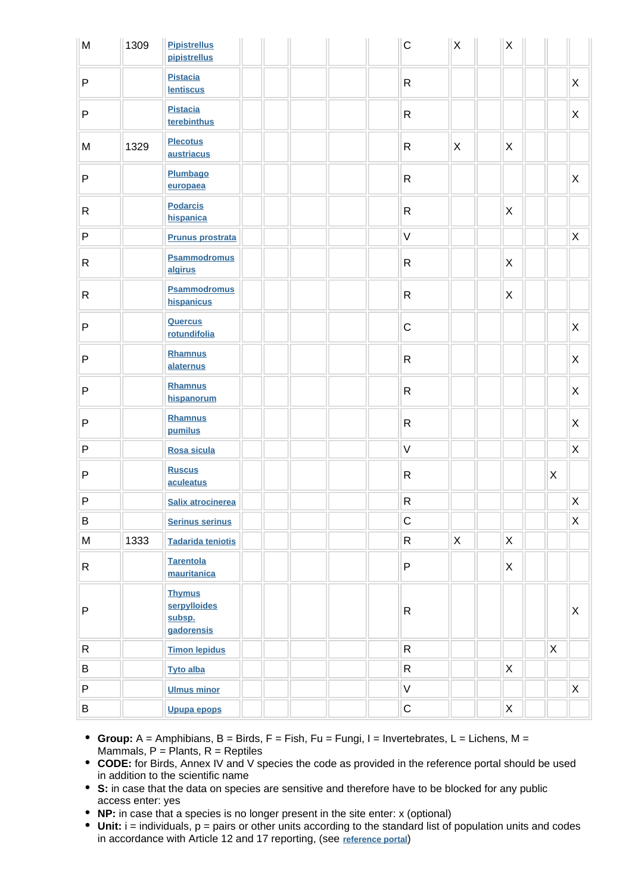| M            | 1309 | <b>Pipistrellus</b><br>pipistrellus                   |  |  | $\mathsf C$  | $\mathsf X$  | $\mathsf X$  |             |                           |
|--------------|------|-------------------------------------------------------|--|--|--------------|--------------|--------------|-------------|---------------------------|
| $\sf P$      |      | <b>Pistacia</b><br><b>lentiscus</b>                   |  |  | $\mathsf{R}$ |              |              |             | X                         |
| $\sf P$      |      | <b>Pistacia</b><br>terebinthus                        |  |  | $\mathsf{R}$ |              |              |             | X                         |
| M            | 1329 | <b>Plecotus</b><br>austriacus                         |  |  | $\mathsf{R}$ | X            | X            |             |                           |
| $\sf P$      |      | Plumbago<br>europaea                                  |  |  | $\mathsf{R}$ |              |              |             | X                         |
| R            |      | <b>Podarcis</b><br>hispanica                          |  |  | $\mathsf{R}$ |              | X            |             |                           |
| $\mathsf{P}$ |      | <b>Prunus prostrata</b>                               |  |  | $\vee$       |              |              |             | $\mathsf X$               |
| R            |      | <b>Psammodromus</b><br>algirus                        |  |  | $\mathsf{R}$ |              | X            |             |                           |
| $\mathsf{R}$ |      | <b>Psammodromus</b><br>hispanicus                     |  |  | $\mathsf{R}$ |              | X            |             |                           |
| $\sf P$      |      | <b>Quercus</b><br>rotundifolia                        |  |  | $\mathsf C$  |              |              |             | $\mathsf{X}$              |
| $\sf P$      |      | <b>Rhamnus</b><br>alaternus                           |  |  | $\mathsf R$  |              |              |             | X                         |
| $\mathsf{P}$ |      | Rhamnus<br>hispanorum                                 |  |  | $\mathsf{R}$ |              |              |             | $\boldsymbol{\mathsf{X}}$ |
| $\mathsf{P}$ |      | <b>Rhamnus</b><br>pumilus                             |  |  | $\mathsf{R}$ |              |              |             | X                         |
| $\sf P$      |      | Rosa sicula                                           |  |  | $\vee$       |              |              |             | X                         |
| $\sf P$      |      | <b>Ruscus</b><br>aculeatus                            |  |  | $\mathsf{R}$ |              |              | X           |                           |
| $\sf P$      |      | <b>Salix atrocinerea</b>                              |  |  | ${\sf R}$    |              |              |             | $\mathsf X$               |
| B            |      | <b>Serinus serinus</b>                                |  |  | $\mathsf C$  |              |              |             | $\mathsf X$               |
| ${\sf M}$    | 1333 | <b>Tadarida teniotis</b>                              |  |  | $\mathsf{R}$ | $\mathsf{X}$ | $\mathsf{X}$ |             |                           |
| $\mathsf{R}$ |      | <b>Tarentola</b><br>mauritanica                       |  |  | $\mathsf P$  |              | X            |             |                           |
| P            |      | <b>Thymus</b><br>serpylloides<br>subsp.<br>gadorensis |  |  | $\mathsf{R}$ |              |              |             | $\mathsf X$               |
| ${\sf R}$    |      | <b>Timon lepidus</b>                                  |  |  | ${\sf R}$    |              |              | $\mathsf X$ |                           |
| B            |      | <b>Tyto alba</b>                                      |  |  | $\mathsf{R}$ |              | X            |             |                           |
| P            |      | <b>Ulmus minor</b>                                    |  |  | $\mathsf V$  |              |              |             | $\mathsf X$               |
| $\, {\bf B}$ |      | <b>Upupa epops</b>                                    |  |  | $\mathsf C$  |              | $\mathsf X$  |             |                           |

- **Group:** A = Amphibians, B = Birds, F = Fish, Fu = Fungi, I = Invertebrates, L = Lichens, M = Mammals,  $P =$  Plants,  $R =$  Reptiles
- **CODE:** for Birds, Annex IV and V species the code as provided in the reference portal should be used in addition to the scientific name
- **S:** in case that the data on species are sensitive and therefore have to be blocked for any public access enter: yes
- **NP:** in case that a species is no longer present in the site enter: x (optional)
- **Unit:** i = individuals, p = pairs or other units according to the standard list of population units and codes in accordance with Article 12 and 17 reporting, (see **[reference portal](http://bd.eionet.europa.eu/activities/Natura_2000/reference_portal)**)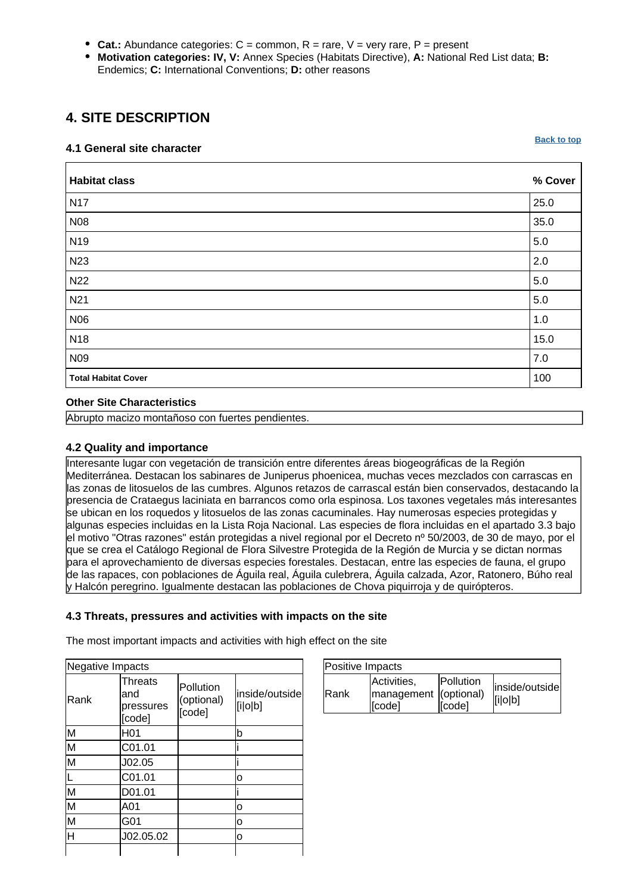- **Cat.:** Abundance categories:  $C =$  common,  $R =$  rare,  $V =$  very rare,  $P =$  present
- **Motivation categories: IV, V:** Annex Species (Habitats Directive), **A:** National Red List data; **B:** Endemics; **C:** International Conventions; **D:** other reasons

# <span id="page-8-0"></span>**4. SITE DESCRIPTION**

### **4.1 General site character**

**[Back to top](#page-0-0)**

| <b>Habitat class</b>       | % Cover |
|----------------------------|---------|
| <b>N17</b>                 | 25.0    |
| <b>N08</b>                 | 35.0    |
| N <sub>19</sub>            | 5.0     |
| N <sub>23</sub>            | 2.0     |
| <b>N22</b>                 | 5.0     |
| N <sub>21</sub>            | $5.0\,$ |
| N06                        | 1.0     |
| N <sub>18</sub>            | 15.0    |
| N09                        | 7.0     |
| <b>Total Habitat Cover</b> | 100     |

### **Other Site Characteristics**

Abrupto macizo montañoso con fuertes pendientes.

### **4.2 Quality and importance**

Interesante lugar con vegetación de transición entre diferentes áreas biogeográficas de la Región Mediterránea. Destacan los sabinares de Juniperus phoenicea, muchas veces mezclados con carrascas en las zonas de litosuelos de las cumbres. Algunos retazos de carrascal están bien conservados, destacando la presencia de Crataegus laciniata en barrancos como orla espinosa. Los taxones vegetales más interesantes se ubican en los roquedos y litosuelos de las zonas cacuminales. Hay numerosas especies protegidas y algunas especies incluidas en la Lista Roja Nacional. Las especies de flora incluidas en el apartado 3.3 bajo el motivo "Otras razones" están protegidas a nivel regional por el Decreto nº 50/2003, de 30 de mayo, por el que se crea el Catálogo Regional de Flora Silvestre Protegida de la Región de Murcia y se dictan normas para el aprovechamiento de diversas especies forestales. Destacan, entre las especies de fauna, el grupo de las rapaces, con poblaciones de Águila real, Águila culebrera, Águila calzada, Azor, Ratonero, Búho real y Halcón peregrino. Igualmente destacan las poblaciones de Chova piquirroja y de quirópteros.

### **4.3 Threats, pressures and activities with impacts on the site**

The most important impacts and activities with high effect on the site

| Negative Impacts        |                                       |                                   |                           |
|-------------------------|---------------------------------------|-----------------------------------|---------------------------|
| Rank                    | Threats<br>and<br>pressures<br>[code] | Pollution<br>(optional)<br>[code] | inside/outside<br>[i o b] |
| M                       | H <sub>01</sub>                       |                                   | b                         |
| $\overline{\mathsf{M}}$ | C01.01                                |                                   |                           |
| M                       | J02.05                                |                                   |                           |
|                         | C01.01                                |                                   | о                         |
| M                       | D01.01                                |                                   |                           |
| $\overline{\mathsf{M}}$ | A01                                   |                                   | ο                         |
| $\overline{\mathsf{M}}$ | G01                                   |                                   | 0                         |
| $\overline{\sf H}$      | J02.05.02                             |                                   | o                         |
|                         |                                       |                                   |                           |

| Positive Impacts |                                                |                     |                           |  |  |  |
|------------------|------------------------------------------------|---------------------|---------------------------|--|--|--|
| <b>IRank</b>     | Activities,<br>management (optional)<br>[code] | Pollution<br>[code] | inside/outside<br>[i o b] |  |  |  |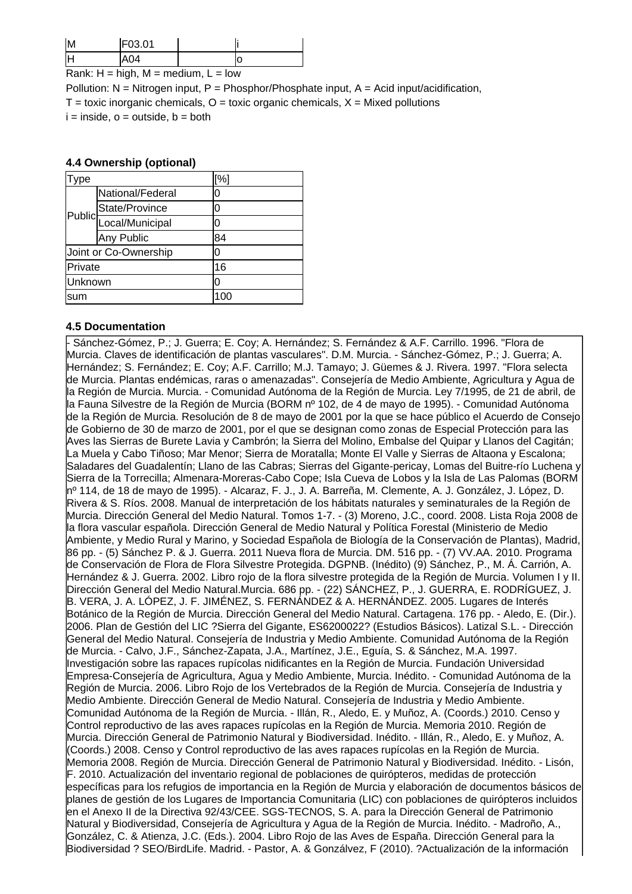| ΙM         | <b>F0301</b> |               |  |
|------------|--------------|---------------|--|
|            |              |               |  |
| . .<br>. . | .<br>- -     | $\sim$<br>. . |  |

Rank:  $H = high$ ,  $M = medium$ ,  $L = low$ 

Pollution:  $N =$  Nitrogen input, P = Phosphor/Phosphate input, A = Acid input/acidification,  $T =$  toxic inorganic chemicals,  $Q =$  toxic organic chemicals,  $X =$  Mixed pollutions  $i =$  inside,  $o =$  outside,  $b =$  both

#### **4.4 Ownership (optional)**

| ype     |                        | [%] |  |
|---------|------------------------|-----|--|
|         | National/Federal       | 0   |  |
|         | State/Province         | 0   |  |
|         | Public Local/Municipal | 0   |  |
|         | Any Public             | 84  |  |
|         | Joint or Co-Ownership  | 0   |  |
| Private |                        | 16  |  |
| Unknown |                        | 0   |  |
| lsum    |                        | 100 |  |

### **4.5 Documentation**

- Sánchez-Gómez, P.; J. Guerra; E. Coy; A. Hernández; S. Fernández & A.F. Carrillo. 1996. "Flora de Murcia. Claves de identificación de plantas vasculares". D.M. Murcia.
- Sánchez-Gómez, P.; J. Guerra; A. Hernández; S. Fernández; E. Coy; A.F. Carrillo; M.J. Tamayo; J. Güemes & J. Rivera. 1997. "Flora selecta de Murcia. Plantas endémicas, raras o amenazadas". Consejería de Medio Ambiente, Agricultura y Agua de la Región de Murcia. Murcia. - Comunidad Autónoma de la Región de Murcia. Ley 7/1995, de 21 de abril, de la Fauna Silvestre de la Región de Murcia (BORM nº 102, de 4 de mayo de 1995). - Comunidad Autónoma de la Región de Murcia. Resolución de 8 de mayo de 2001 por la que se hace público el Acuerdo de Consejo de Gobierno de 30 de marzo de 2001, por el que se designan como zonas de Especial Protección para las Aves las Sierras de Burete Lavia y Cambrón; la Sierra del Molino, Embalse del Quipar y Llanos del Cagitán; La Muela y Cabo Tiñoso; Mar Menor; Sierra de Moratalla; Monte El Valle y Sierras de Altaona y Escalona; Saladares del Guadalentín; Llano de las Cabras; Sierras del Gigante-pericay, Lomas del Buitre-río Luchena y Sierra de la Torrecilla; Almenara-Moreras-Cabo Cope; Isla Cueva de Lobos y la Isla de Las Palomas (BORM nº 114, de 18 de mayo de 1995). - Alcaraz, F. J., J. A. Barreña, M. Clemente, A. J. González, J. López, D. Rivera & S. Ríos. 2008. Manual de interpretación de los hábitats naturales y seminaturales de la Región de Murcia. Dirección General del Medio Natural. Tomos 1-7.
- (3) Moreno, J.C., coord. 2008. Lista Roja 2008 de la flora vascular española. Dirección General de Medio Natural y Política Forestal (Ministerio de Medio Ambiente, y Medio Rural y Marino, y Sociedad Española de Biología de la Conservación de Plantas), Madrid, 86 pp.
- (5) Sánchez P. & J. Guerra. 2011 Nueva flora de Murcia. DM. 516 pp.
- (7) VV.AA. 2010. Programa de Conservación de Flora de Flora Silvestre Protegida. DGPNB. (Inédito) (9) Sánchez, P., M. Á. Carrión, A. Hernández & J. Guerra. 2002. Libro rojo de la flora silvestre protegida de la Región de Murcia. Volumen I y II. Dirección General del Medio Natural.Murcia. 686 pp.
- (22) SÁNCHEZ, P., J. GUERRA, E. RODRÍGUEZ, J. B. VERA, J. A. LÓPEZ, J. F. JIMÉNEZ, S. FERNÁNDEZ & A. HERNÁNDEZ. 2005. Lugares de Interés Botánico de la Región de Murcia. Dirección General del Medio Natural. Cartagena. 176 pp.
- Aledo, E. (Dir.). 2006. Plan de Gestión del LIC ?Sierra del Gigante, ES6200022? (Estudios Básicos). Latizal S.L. - Dirección General del Medio Natural. Consejería de Industria y Medio Ambiente. Comunidad Autónoma de la Región de Murcia.
- Calvo, J.F., Sánchez-Zapata, J.A., Martínez, J.E., Eguía, S. & Sánchez, M.A. 1997. Investigación sobre las rapaces rupícolas nidificantes en la Región de Murcia. Fundación Universidad Empresa-Consejería de Agricultura, Agua y Medio Ambiente, Murcia. Inédito.
- Comunidad Autónoma de la Región de Murcia. 2006. Libro Rojo de los Vertebrados de la Región de Murcia. Consejería de Industria y Medio Ambiente. Dirección General de Medio Natural. Consejería de Industria y Medio Ambiente. Comunidad Autónoma de la Región de Murcia.
- Illán, R., Aledo, E. y Muñoz, A. (Coords.) 2010. Censo y Control reproductivo de las aves rapaces rupícolas en la Región de Murcia. Memoria 2010. Región de Murcia. Dirección General de Patrimonio Natural y Biodiversidad. Inédito.
- Illán, R., Aledo, E. y Muñoz, A. (Coords.) 2008. Censo y Control reproductivo de las aves rapaces rupícolas en la Región de Murcia. Memoria 2008. Región de Murcia. Dirección General de Patrimonio Natural y Biodiversidad. Inédito.
- Lisón, F. 2010. Actualización del inventario regional de poblaciones de quirópteros, medidas de protección específicas para los refugios de importancia en la Región de Murcia y elaboración de documentos básicos de planes de gestión de los Lugares de Importancia Comunitaria (LIC) con poblaciones de quirópteros incluidos en el Anexo II de la Directiva 92/43/CEE. SGS-TECNOS, S. A. para la Dirección General de Patrimonio Natural y Biodiversidad, Consejería de Agricultura y Agua de la Región de Murcia. Inédito.
- Madroño, A., González, C. & Atienza, J.C. (Eds.). 2004. Libro Rojo de las Aves de España. Dirección General para la Biodiversidad ? SEO/BirdLife. Madrid. - Pastor, A. & Gonzálvez, F (2010). ?Actualización de la información